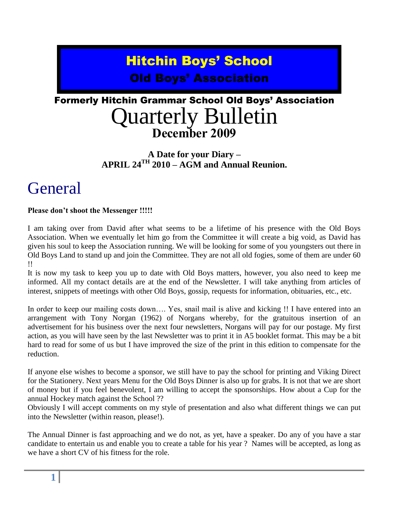## Hitchin Boys' School Old Boys' Association

### Formerly Hitchin Grammar School Old Boys' Association Quarterly Bulletin **December 2009**

#### **A Date for your Diary – APRIL 24TH 2010 – AGM and Annual Reunion.**

## General

#### **Please don't shoot the Messenger !!!!!**

I am taking over from David after what seems to be a lifetime of his presence with the Old Boys Association. When we eventually let him go from the Committee it will create a big void, as David has given his soul to keep the Association running. We will be looking for some of you youngsters out there in Old Boys Land to stand up and join the Committee. They are not all old fogies, some of them are under 60 !!

It is now my task to keep you up to date with Old Boys matters, however, you also need to keep me informed. All my contact details are at the end of the Newsletter. I will take anything from articles of interest, snippets of meetings with other Old Boys, gossip, requests for information, obituaries, etc., etc.

In order to keep our mailing costs down…. Yes, snail mail is alive and kicking !! I have entered into an arrangement with Tony Norgan (1962) of Norgans whereby, for the gratuitous insertion of an advertisement for his business over the next four newsletters, Norgans will pay for our postage. My first action, as you will have seen by the last Newsletter was to print it in A5 booklet format. This may be a bit hard to read for some of us but I have improved the size of the print in this edition to compensate for the reduction.

If anyone else wishes to become a sponsor, we still have to pay the school for printing and Viking Direct for the Stationery. Next years Menu for the Old Boys Dinner is also up for grabs. It is not that we are short of money but if you feel benevolent, I am willing to accept the sponsorships. How about a Cup for the annual Hockey match against the School ??

Obviously I will accept comments on my style of presentation and also what different things we can put into the Newsletter (within reason, please!).

The Annual Dinner is fast approaching and we do not, as yet, have a speaker. Do any of you have a star candidate to entertain us and enable you to create a table for his year ? Names will be accepted, as long as we have a short CV of his fitness for the role.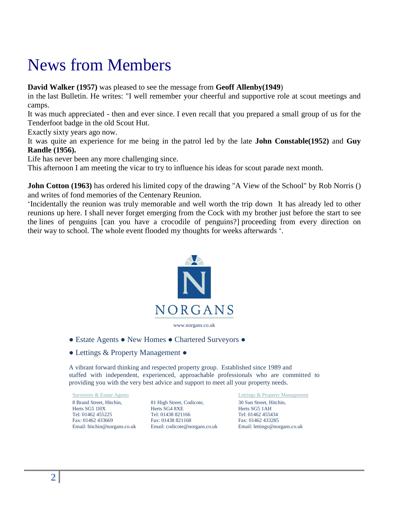## News from Members

**David Walker (1957)** was pleased to see the message from **Geoff Allenby(1949**)

in the last Bulletin. He writes: "I well remember your cheerful and supportive role at scout meetings and camps.

It was much appreciated - then and ever since. I even recall that you prepared a small group of us for the Tenderfoot badge in the old Scout Hut.

Exactly sixty years ago now.

It was quite an experience for me being in the patrol led by the late **John Constable(1952)** and **Guy Randle (1956).**

Life has never been any more challenging since.

This afternoon I am meeting the vicar to try to influence his ideas for scout parade next month.

**John Cotton (1963)** has ordered his limited copy of the drawing "A View of the School" by Rob Norris () and writes of fond memories of the Centenary Reunion.

'Incidentally the reunion was truly memorable and well worth the trip down It has already led to other reunions up here. I shall never forget emerging from the Cock with my brother just before the start to see the lines of penguins [can you have a crocodile of penguins?] proceeding from every direction on their way to school. The whole event flooded my thoughts for weeks afterwards '.



- Estate Agents New Homes Chartered Surveyors ●
- Lettings & Property Management ●

A vibrant forward thinking and respected property group. Established since 1989 and staffed with independent, experienced, approachable professionals who are committed to providing you with the very best advice and support to meet all your property needs.

8 Brand Street, Hitchin, Herts SG5 1HX Tel: 01462 455225 Fax: 01462 433669 Email: hitchin@norgans.co.uk

81 High Street, Codicote, Herts SG4 8XE Tel: 01438 821166 Fax: 01438 821168 Email: codicote@norgans.co.uk

Surveyors & Estate Agents **Lettings & Property Management** 30 Sun Street, Hitchin, Herts SG5 1AH Tel: 01462 455434 Fax: 01462 433285 Email: lettings@norgans.co.uk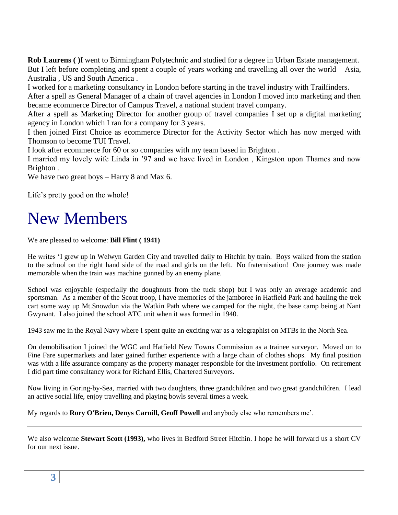**Rob Laurens ( )**I went to Birmingham Polytechnic and studied for a degree in Urban Estate management. But I left before completing and spent a couple of years working and travelling all over the world – Asia, Australia , US and South America .

I worked for a marketing consultancy in London before starting in the travel industry with Trailfinders.

After a spell as General Manager of a chain of travel agencies in London I moved into marketing and then became ecommerce Director of Campus Travel, a national student travel company.

After a spell as Marketing Director for another group of travel companies I set up a digital marketing agency in London which I ran for a company for 3 years.

I then joined First Choice as ecommerce Director for the Activity Sector which has now merged with Thomson to become TUI Travel.

I look after ecommerce for 60 or so companies with my team based in Brighton .

I married my lovely wife Linda in '97 and we have lived in London , Kingston upon Thames and now Brighton .

We have two great boys – Harry 8 and Max 6.

Life's pretty good on the whole!

## New Members

We are pleased to welcome: **Bill Flint ( 1941)**

He writes 'I grew up in Welwyn Garden City and travelled daily to Hitchin by train. Boys walked from the station to the school on the right hand side of the road and girls on the left. No fraternisation! One journey was made memorable when the train was machine gunned by an enemy plane.

School was enjoyable (especially the doughnuts from the tuck shop) but I was only an average academic and sportsman. As a member of the Scout troop, I have memories of the jamboree in Hatfield Park and hauling the trek cart some way up Mt.Snowdon via the Watkin Path where we camped for the night, the base camp being at Nant Gwynant. I also joined the school ATC unit when it was formed in 1940.

1943 saw me in the Royal Navy where I spent quite an exciting war as a telegraphist on MTBs in the North Sea.

On demobilisation I joined the WGC and Hatfield New Towns Commission as a trainee surveyor. Moved on to Fine Fare supermarkets and later gained further experience with a large chain of clothes shops. My final position was with a life assurance company as the property manager responsible for the investment portfolio. On retirement I did part time consultancy work for Richard Ellis, Chartered Surveyors.

Now living in Goring-by-Sea, married with two daughters, three grandchildren and two great grandchildren. I lead an active social life, enjoy travelling and playing bowls several times a week.

My regards to **Rory O'Brien, Denys Carnill, Geoff Powell** and anybody else who remembers me'.

We also welcome **Stewart Scott (1993),** who lives in Bedford Street Hitchin. I hope he will forward us a short CV for our next issue.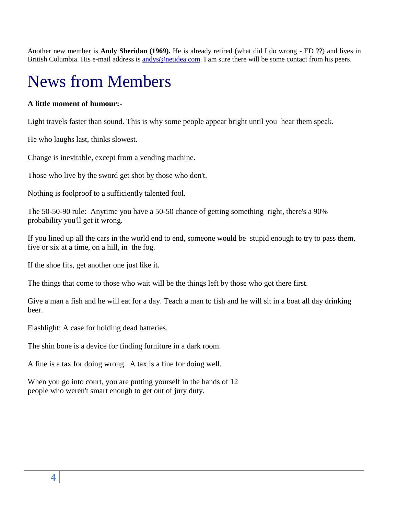Another new member is **Andy Sheridan (1969).** He is already retired (what did I do wrong - ED ??) and lives in British Columbia. His e-mail address is [andys@netidea.com.](mailto:andys@netidea.com) I am sure there will be some contact from his peers.

## News from Members

#### **A little moment of humour:-**

Light travels faster than sound. This is why some people appear bright until you hear them speak.

He who laughs last, thinks slowest.

Change is inevitable, except from a vending machine.

Those who live by the sword get shot by those who don't.

Nothing is foolproof to a sufficiently talented fool.

The 50-50-90 rule: Anytime you have a 50-50 chance of getting something right, there's a 90% probability you'll get it wrong.

If you lined up all the cars in the world end to end, someone would be stupid enough to try to pass them, five or six at a time, on a hill, in the fog.

If the shoe fits, get another one just like it.

The things that come to those who wait will be the things left by those who got there first.

Give a man a fish and he will eat for a day. Teach a man to fish and he will sit in a boat all day drinking beer.

Flashlight: A case for holding dead batteries.

The shin bone is a device for finding furniture in a dark room.

A fine is a tax for doing wrong. A tax is a fine for doing well.

When you go into court, you are putting yourself in the hands of 12 people who weren't smart enough to get out of jury duty.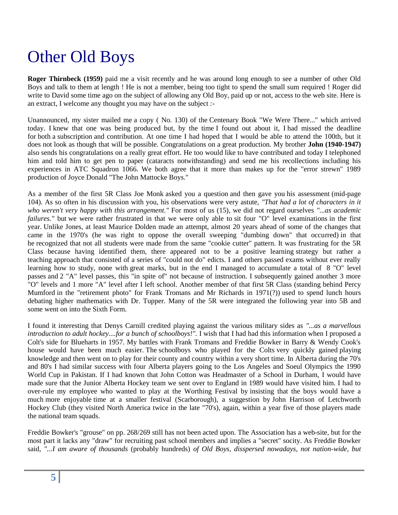# Other Old Boys

**Roger Thirnbeck (1959)** paid me a visit recently and he was around long enough to see a number of other Old Boys and talk to them at length ! He is not a member, being too tight to spend the small sum required ! Roger did write to David some time ago on the subject of allowing any Old Boy, paid up or not, access to the web site. Here is an extract, I welcome any thought you may have on the subject :-

Unannounced, my sister mailed me a copy ( No. 130) of the Centenary Book "We Were There..." which arrived today. I knew that one was being produced but, by the time I found out about it, I had missed the deadline for both a subscription and contribution. At one time I had hoped that I would be able to attend the 100th, but it does not look as though that will be possible. Congratulations on a great production. My brother **John (1940-1947)** also sends his congratulations on a really great effort. He too would like to have contributed and today I telephoned him and told him to get pen to paper (cataracts notwithstanding) and send me his recollections including his experiences in ATC Squadron 1066. We both agree that it more than makes up for the "error strewn" 1989 production of Joyce Donald "The John Mattocke Boys."

As a member of the first 5R Class Joe Monk asked you a question and then gave you his assessment (mid-page 104). As so often in his discussion with you, his observations were very astute, *"That had a lot of characters in it who weren't very happy with this arrangement."* For most of us (15), we did not regard ourselves *"...as academic failures."* but we were rather frustrated in that we were only able to sit four "O" level examinations in the first year. Unlike Jones, at least Maurice Dolden made an attempt, almost 20 years ahead of some of the changes that came in the 1970's (he was right to oppose the overall sweeping "dumbing down" that occurred) in that he recognized that not all students were made from the same "cookie cutter" pattern. It was frustrating for the 5R Class because having identified them, there appeared not to be a positive learning strategy but rather a teaching approach that consisted of a series of "could not do" edicts. I and others passed exams without ever really learning how to study, none with great marks, but in the end I managed to accumulate a total of 8 "O" level passes and 2 "A" level passes, this "in spite of" not because of instruction. I subsequently gained another 3 more "O" levels and 1 more "A" level after I left school. Another member of that first 5R Class (standing behind Percy Mumford in the "retirement photo" for Frank Tromans and Mr Richards in 1971(?)) used to spend lunch hours debating higher mathematics with Dr. Tupper. Many of the 5R were integrated the following year into 5B and some went on into the Sixth Form.

I found it interesting that Denys Carnill credited playing against the various military sides as *"...as a marvellous introduction to adult hockey....for a bunch of schoolboys!".* I wish that I had had this information when I proposed a Colt's side for Blueharts in 1957. My battles with Frank Tromans and Freddie Bowker in Barry & Wendy Cook's house would have been much easier. The schoolboys who played for the Colts very quickly gained playing knowledge and then went on to play for their county and country within a very short time. In Alberta during the 70's and 80's I had similar success with four Alberta players going to the Los Angeles and Soeul Olympics the 1990 World Cup in Pakistan. If I had known that John Cotton was Headmaster of a School in Durham, I would have made sure that the Junior Alberta Hockey team we sent over to England in 1989 would have visited him. I had to over-rule my employee who wanted to play at the Worthing Festival by insisting that the boys would have a much more enjoyable time at a smaller festival (Scarborough), a suggestion by John Harrison of Letchworth Hockey Club (they visited North America twice in the late "70's), again, within a year five of those players made the national team squads.

Freddie Bowker's "grouse" on pp. 268/269 still has not been acted upon. The Association has a web-site, but for the most part it lacks any "draw" for recruiting past school members and implies a "secret" socity. As Freddie Bowker said, *"...I am aware of thousands* (probably hundreds) *of Old Boys, disspersed nowadays, not nation-wide, but*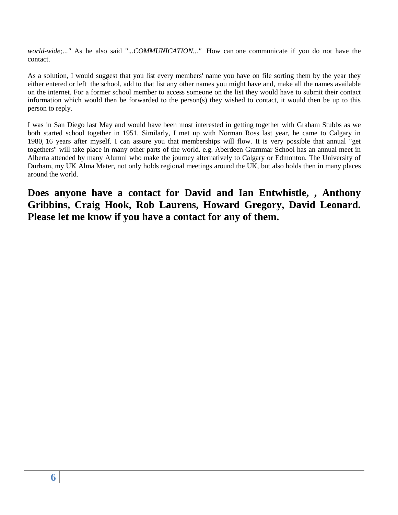*world-wide;..."* As he also said ".*..COMMUNICATION..."* How can one communicate if you do not have the contact.

As a solution, I would suggest that you list every members' name you have on file sorting them by the year they either entered or left the school, add to that list any other names you might have and, make all the names available on the internet. For a former school member to access someone on the list they would have to submit their contact information which would then be forwarded to the person(s) they wished to contact, it would then be up to this person to reply.

I was in San Diego last May and would have been most interested in getting together with Graham Stubbs as we both started school together in 1951. Similarly, I met up with Norman Ross last year, he came to Calgary in 1980, 16 years after myself. I can assure you that memberships will flow. It is very possible that annual "get togethers" will take place in many other parts of the world. e.g. Aberdeen Grammar School has an annual meet in Alberta attended by many Alumni who make the journey alternatively to Calgary or Edmonton. The University of Durham, my UK Alma Mater, not only holds regional meetings around the UK, but also holds then in many places around the world.

**Does anyone have a contact for David and Ian Entwhistle, , Anthony Gribbins, Craig Hook, Rob Laurens, Howard Gregory, David Leonard. Please let me know if you have a contact for any of them.**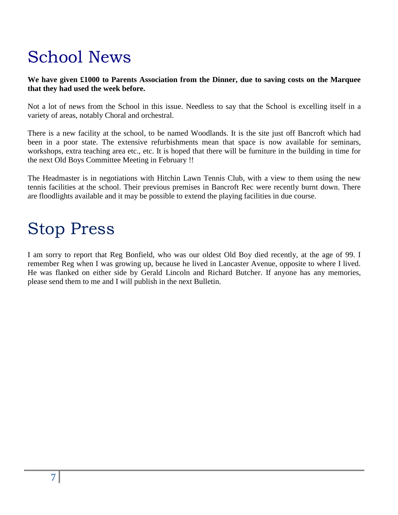# School News

#### **We have given £1000 to Parents Association from the Dinner, due to saving costs on the Marquee that they had used the week before.**

Not a lot of news from the School in this issue. Needless to say that the School is excelling itself in a variety of areas, notably Choral and orchestral.

There is a new facility at the school, to be named Woodlands. It is the site just off Bancroft which had been in a poor state. The extensive refurbishments mean that space is now available for seminars, workshops, extra teaching area etc., etc. It is hoped that there will be furniture in the building in time for the next Old Boys Committee Meeting in February !!

The Headmaster is in negotiations with Hitchin Lawn Tennis Club, with a view to them using the new tennis facilities at the school. Their previous premises in Bancroft Rec were recently burnt down. There are floodlights available and it may be possible to extend the playing facilities in due course.

# Stop Press

I am sorry to report that Reg Bonfield, who was our oldest Old Boy died recently, at the age of 99. I remember Reg when I was growing up, because he lived in Lancaster Avenue, opposite to where I lived. He was flanked on either side by Gerald Lincoln and Richard Butcher. If anyone has any memories, please send them to me and I will publish in the next Bulletin.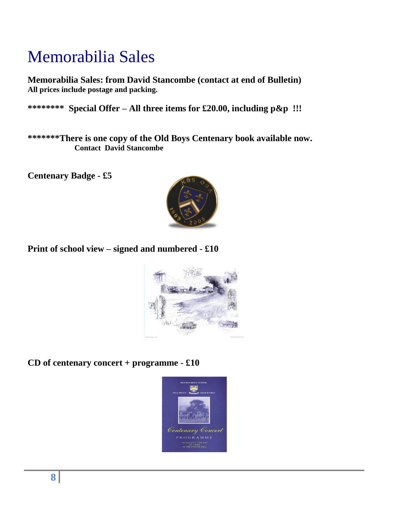# Memorabilia Sales

**Memorabilia Sales: from David Stancombe (contact at end of Bulletin) All prices include postage and packing.**

**\*\*\*\*\*\*\*\* Special Offer – All three items for £20.00, including p&p !!!**

**\*\*\*\*\*\*\*There is one copy of the Old Boys Centenary book available now. Contact David Stancombe**

**Centenary Badge - £5** 



### **Print of school view – signed and numbered - £10**



**CD of centenary concert + programme - £10**

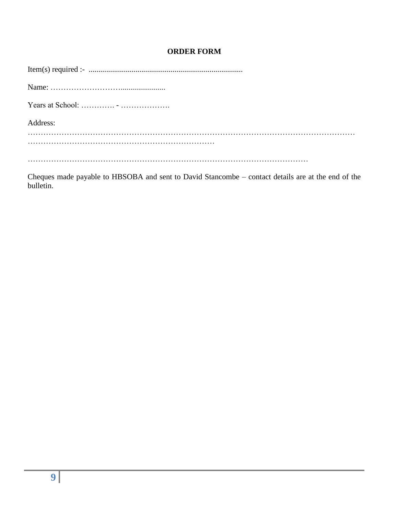#### **ORDER FORM**

| Years at School: $\dots \dots \dots \dots \dots \dots \dots \dots \dots$ |
|--------------------------------------------------------------------------|
| Address:                                                                 |
|                                                                          |
|                                                                          |
|                                                                          |
|                                                                          |

Cheques made payable to HBSOBA and sent to David Stancombe – contact details are at the end of the bulletin.